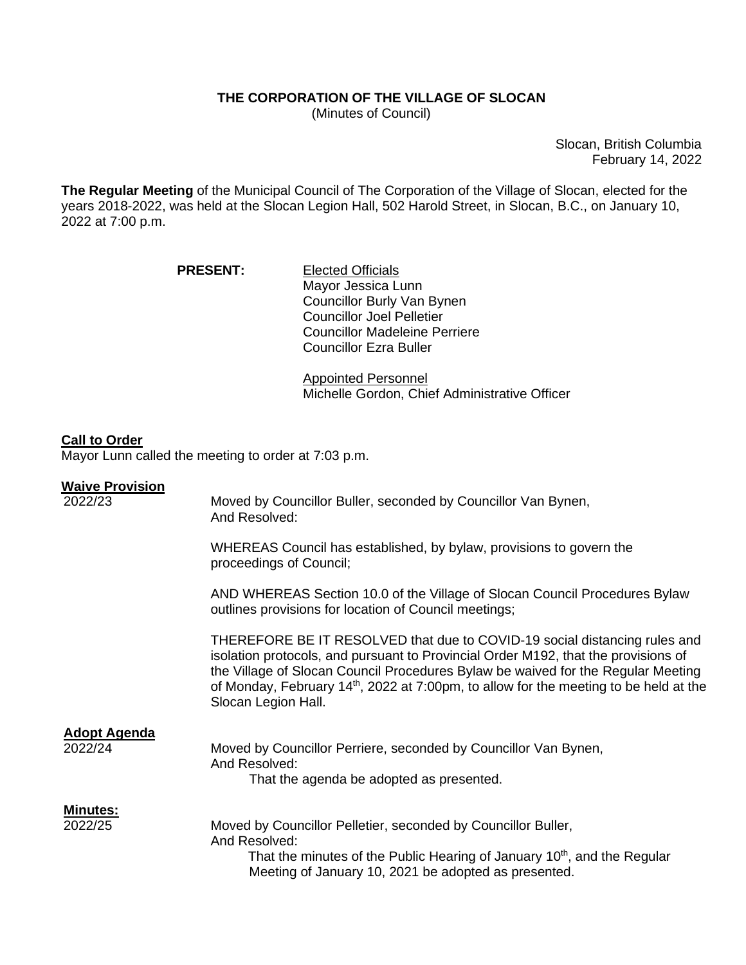# **THE CORPORATION OF THE VILLAGE OF SLOCAN**

(Minutes of Council)

Slocan, British Columbia February 14, 2022

**The Regular Meeting** of the Municipal Council of The Corporation of the Village of Slocan, elected for the years 2018-2022, was held at the Slocan Legion Hall, 502 Harold Street, in Slocan, B.C., on January 10, 2022 at 7:00 p.m.

| <b>PRESENT:</b> | <b>Elected Officials</b>             |
|-----------------|--------------------------------------|
|                 | Mayor Jessica Lunn                   |
|                 | Councillor Burly Van Bynen           |
|                 | <b>Councillor Joel Pelletier</b>     |
|                 | <b>Councillor Madeleine Perriere</b> |
|                 | <b>Councillor Ezra Buller</b>        |

Appointed Personnel Michelle Gordon, Chief Administrative Officer

## **Call to Order**

Mayor Lunn called the meeting to order at 7:03 p.m.

### **Waive Provision**

| 2022/23                        | Moved by Councillor Buller, seconded by Councillor Van Bynen,<br>And Resolved:                                                                                                                                                                                                                                                                                                  |
|--------------------------------|---------------------------------------------------------------------------------------------------------------------------------------------------------------------------------------------------------------------------------------------------------------------------------------------------------------------------------------------------------------------------------|
|                                | WHEREAS Council has established, by bylaw, provisions to govern the<br>proceedings of Council;                                                                                                                                                                                                                                                                                  |
|                                | AND WHEREAS Section 10.0 of the Village of Slocan Council Procedures Bylaw<br>outlines provisions for location of Council meetings;                                                                                                                                                                                                                                             |
|                                | THEREFORE BE IT RESOLVED that due to COVID-19 social distancing rules and<br>isolation protocols, and pursuant to Provincial Order M192, that the provisions of<br>the Village of Slocan Council Procedures Bylaw be waived for the Regular Meeting<br>of Monday, February 14 <sup>th</sup> , 2022 at 7:00pm, to allow for the meeting to be held at the<br>Slocan Legion Hall. |
| <b>Adopt Agenda</b><br>2022/24 | Moved by Councillor Perriere, seconded by Councillor Van Bynen,<br>And Resolved:<br>That the agenda be adopted as presented.                                                                                                                                                                                                                                                    |
| <b>Minutes:</b><br>2022/25     | Moved by Councillor Pelletier, seconded by Councillor Buller,<br>And Resolved:<br>That the minutes of the Public Hearing of January 10 <sup>th</sup> , and the Regular<br>Meeting of January 10, 2021 be adopted as presented.                                                                                                                                                  |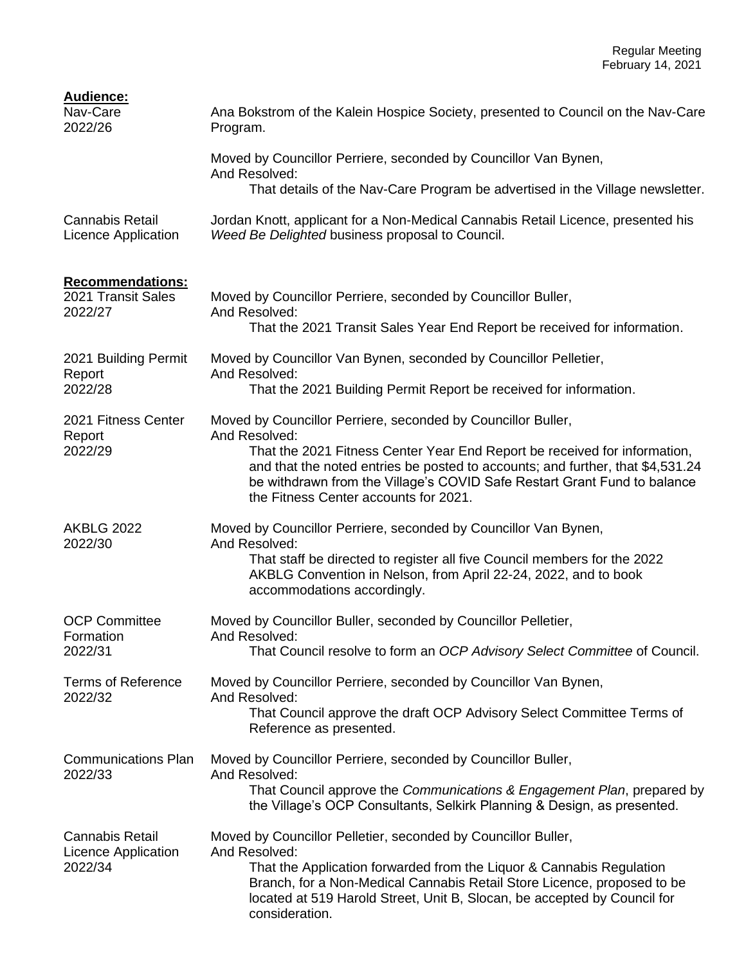| <b>Audience:</b><br>Nav-Care<br>2022/26                         | Ana Bokstrom of the Kalein Hospice Society, presented to Council on the Nav-Care<br>Program.                                                                                                                                                                                     |
|-----------------------------------------------------------------|----------------------------------------------------------------------------------------------------------------------------------------------------------------------------------------------------------------------------------------------------------------------------------|
|                                                                 | Moved by Councillor Perriere, seconded by Councillor Van Bynen,<br>And Resolved:                                                                                                                                                                                                 |
|                                                                 | That details of the Nav-Care Program be advertised in the Village newsletter.                                                                                                                                                                                                    |
| <b>Cannabis Retail</b><br>Licence Application                   | Jordan Knott, applicant for a Non-Medical Cannabis Retail Licence, presented his<br>Weed Be Delighted business proposal to Council.                                                                                                                                              |
| <b>Recommendations:</b>                                         |                                                                                                                                                                                                                                                                                  |
| 2021 Transit Sales<br>2022/27                                   | Moved by Councillor Perriere, seconded by Councillor Buller,<br>And Resolved:                                                                                                                                                                                                    |
|                                                                 | That the 2021 Transit Sales Year End Report be received for information.                                                                                                                                                                                                         |
| 2021 Building Permit<br>Report                                  | Moved by Councillor Van Bynen, seconded by Councillor Pelletier,<br>And Resolved:                                                                                                                                                                                                |
| 2022/28                                                         | That the 2021 Building Permit Report be received for information.                                                                                                                                                                                                                |
| 2021 Fitness Center<br>Report<br>2022/29                        | Moved by Councillor Perriere, seconded by Councillor Buller,<br>And Resolved:                                                                                                                                                                                                    |
|                                                                 | That the 2021 Fitness Center Year End Report be received for information,<br>and that the noted entries be posted to accounts; and further, that \$4,531.24<br>be withdrawn from the Village's COVID Safe Restart Grant Fund to balance<br>the Fitness Center accounts for 2021. |
| <b>AKBLG 2022</b>                                               | Moved by Councillor Perriere, seconded by Councillor Van Bynen,                                                                                                                                                                                                                  |
| 2022/30                                                         | And Resolved:<br>That staff be directed to register all five Council members for the 2022<br>AKBLG Convention in Nelson, from April 22-24, 2022, and to book<br>accommodations accordingly.                                                                                      |
| <b>OCP Committee</b><br>Formation                               | Moved by Councillor Buller, seconded by Councillor Pelletier,<br>And Resolved:                                                                                                                                                                                                   |
| 2022/31                                                         | That Council resolve to form an OCP Advisory Select Committee of Council.                                                                                                                                                                                                        |
| <b>Terms of Reference</b><br>2022/32                            | Moved by Councillor Perriere, seconded by Councillor Van Bynen,<br>And Resolved:                                                                                                                                                                                                 |
|                                                                 | That Council approve the draft OCP Advisory Select Committee Terms of<br>Reference as presented.                                                                                                                                                                                 |
| <b>Communications Plan</b><br>2022/33                           | Moved by Councillor Perriere, seconded by Councillor Buller,<br>And Resolved:                                                                                                                                                                                                    |
|                                                                 | That Council approve the Communications & Engagement Plan, prepared by<br>the Village's OCP Consultants, Selkirk Planning & Design, as presented.                                                                                                                                |
| <b>Cannabis Retail</b><br><b>Licence Application</b><br>2022/34 | Moved by Councillor Pelletier, seconded by Councillor Buller,<br>And Resolved:                                                                                                                                                                                                   |
|                                                                 | That the Application forwarded from the Liquor & Cannabis Regulation<br>Branch, for a Non-Medical Cannabis Retail Store Licence, proposed to be<br>located at 519 Harold Street, Unit B, Slocan, be accepted by Council for<br>consideration.                                    |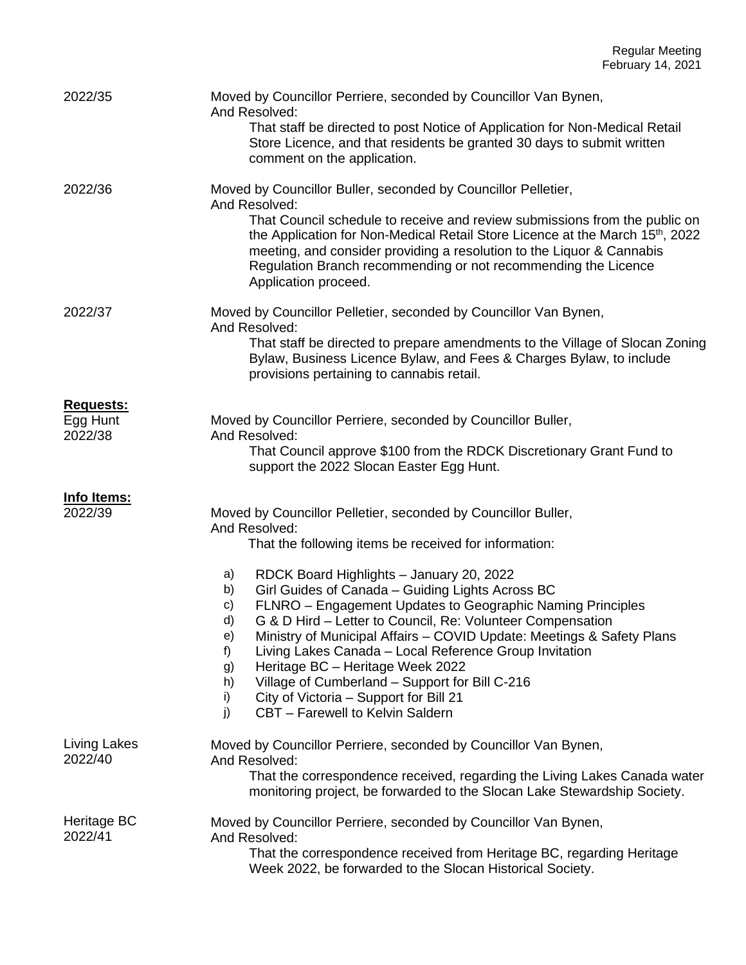| 2022/35                                 | Moved by Councillor Perriere, seconded by Councillor Van Bynen,<br>And Resolved:<br>That staff be directed to post Notice of Application for Non-Medical Retail<br>Store Licence, and that residents be granted 30 days to submit written<br>comment on the application.                                                                                                                                                                                                                                                                                                                                                                                                                                                                         |
|-----------------------------------------|--------------------------------------------------------------------------------------------------------------------------------------------------------------------------------------------------------------------------------------------------------------------------------------------------------------------------------------------------------------------------------------------------------------------------------------------------------------------------------------------------------------------------------------------------------------------------------------------------------------------------------------------------------------------------------------------------------------------------------------------------|
| 2022/36                                 | Moved by Councillor Buller, seconded by Councillor Pelletier,<br>And Resolved:<br>That Council schedule to receive and review submissions from the public on<br>the Application for Non-Medical Retail Store Licence at the March 15 <sup>th</sup> , 2022<br>meeting, and consider providing a resolution to the Liquor & Cannabis<br>Regulation Branch recommending or not recommending the Licence<br>Application proceed.                                                                                                                                                                                                                                                                                                                     |
| 2022/37                                 | Moved by Councillor Pelletier, seconded by Councillor Van Bynen,<br>And Resolved:<br>That staff be directed to prepare amendments to the Village of Slocan Zoning<br>Bylaw, Business Licence Bylaw, and Fees & Charges Bylaw, to include<br>provisions pertaining to cannabis retail.                                                                                                                                                                                                                                                                                                                                                                                                                                                            |
| <b>Requests:</b><br>Egg Hunt<br>2022/38 | Moved by Councillor Perriere, seconded by Councillor Buller,<br>And Resolved:<br>That Council approve \$100 from the RDCK Discretionary Grant Fund to<br>support the 2022 Slocan Easter Egg Hunt.                                                                                                                                                                                                                                                                                                                                                                                                                                                                                                                                                |
| <u>Info Items:</u><br>2022/39           | Moved by Councillor Pelletier, seconded by Councillor Buller,<br>And Resolved:<br>That the following items be received for information:<br>RDCK Board Highlights - January 20, 2022<br>a)<br>Girl Guides of Canada - Guiding Lights Across BC<br>b)<br>FLNRO - Engagement Updates to Geographic Naming Principles<br>C)<br>G & D Hird - Letter to Council, Re: Volunteer Compensation<br>d)<br>Ministry of Municipal Affairs - COVID Update: Meetings & Safety Plans<br>e)<br>f)<br>Living Lakes Canada - Local Reference Group Invitation<br>Heritage BC - Heritage Week 2022<br>g)<br>Village of Cumberland - Support for Bill C-216<br>h)<br>City of Victoria - Support for Bill 21<br>i)<br>CBT - Farewell to Kelvin Saldern<br>$\mathsf{i}$ |
| Living Lakes<br>2022/40                 | Moved by Councillor Perriere, seconded by Councillor Van Bynen,<br>And Resolved:<br>That the correspondence received, regarding the Living Lakes Canada water<br>monitoring project, be forwarded to the Slocan Lake Stewardship Society.                                                                                                                                                                                                                                                                                                                                                                                                                                                                                                        |
| Heritage BC<br>2022/41                  | Moved by Councillor Perriere, seconded by Councillor Van Bynen,<br>And Resolved:<br>That the correspondence received from Heritage BC, regarding Heritage<br>Week 2022, be forwarded to the Slocan Historical Society.                                                                                                                                                                                                                                                                                                                                                                                                                                                                                                                           |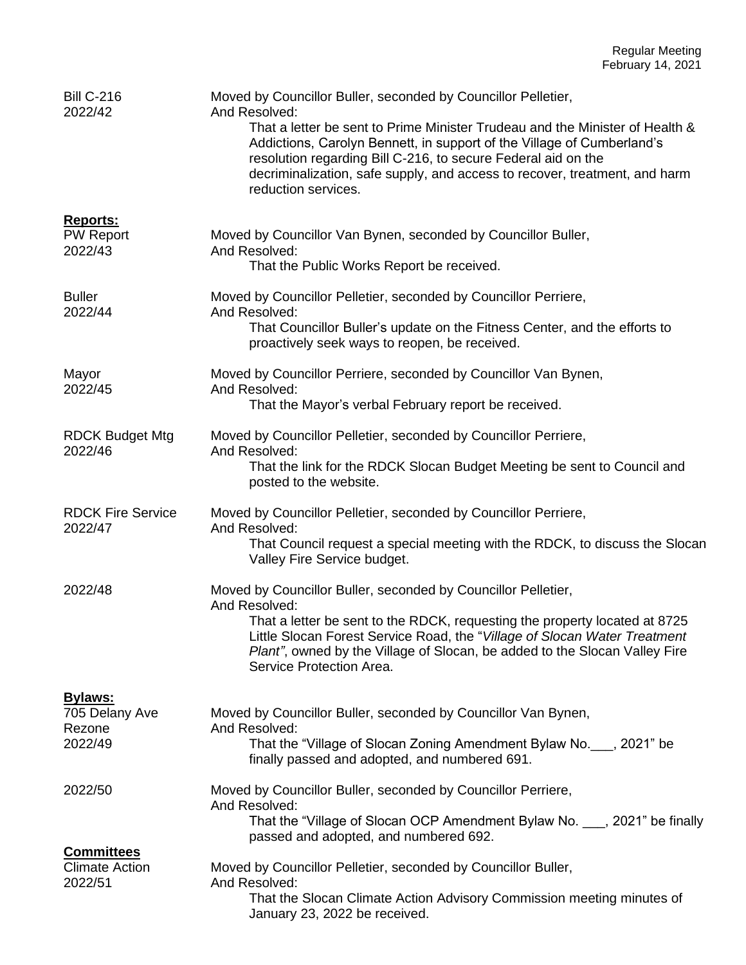| <b>Bill C-216</b><br>2022/42                          | Moved by Councillor Buller, seconded by Councillor Pelletier,<br>And Resolved:<br>That a letter be sent to Prime Minister Trudeau and the Minister of Health &<br>Addictions, Carolyn Bennett, in support of the Village of Cumberland's<br>resolution regarding Bill C-216, to secure Federal aid on the<br>decriminalization, safe supply, and access to recover, treatment, and harm<br>reduction services. |
|-------------------------------------------------------|----------------------------------------------------------------------------------------------------------------------------------------------------------------------------------------------------------------------------------------------------------------------------------------------------------------------------------------------------------------------------------------------------------------|
|                                                       |                                                                                                                                                                                                                                                                                                                                                                                                                |
| Reports:<br><b>PW Report</b><br>2022/43               | Moved by Councillor Van Bynen, seconded by Councillor Buller,<br>And Resolved:<br>That the Public Works Report be received.                                                                                                                                                                                                                                                                                    |
| <b>Buller</b><br>2022/44                              | Moved by Councillor Pelletier, seconded by Councillor Perriere,<br>And Resolved:<br>That Councillor Buller's update on the Fitness Center, and the efforts to<br>proactively seek ways to reopen, be received.                                                                                                                                                                                                 |
| Mayor<br>2022/45                                      | Moved by Councillor Perriere, seconded by Councillor Van Bynen,<br>And Resolved:<br>That the Mayor's verbal February report be received.                                                                                                                                                                                                                                                                       |
| <b>RDCK Budget Mtg</b><br>2022/46                     | Moved by Councillor Pelletier, seconded by Councillor Perriere,<br>And Resolved:<br>That the link for the RDCK Slocan Budget Meeting be sent to Council and<br>posted to the website.                                                                                                                                                                                                                          |
| <b>RDCK Fire Service</b><br>2022/47                   | Moved by Councillor Pelletier, seconded by Councillor Perriere,<br>And Resolved:<br>That Council request a special meeting with the RDCK, to discuss the Slocan<br>Valley Fire Service budget.                                                                                                                                                                                                                 |
| 2022/48                                               | Moved by Councillor Buller, seconded by Councillor Pelletier,<br>And Resolved:<br>That a letter be sent to the RDCK, requesting the property located at 8725<br>Little Slocan Forest Service Road, the "Village of Slocan Water Treatment<br>Plant", owned by the Village of Slocan, be added to the Slocan Valley Fire<br>Service Protection Area.                                                            |
| <b>Bylaws:</b><br>705 Delany Ave                      | Moved by Councillor Buller, seconded by Councillor Van Bynen,                                                                                                                                                                                                                                                                                                                                                  |
| Rezone<br>2022/49                                     | And Resolved:<br>That the "Village of Slocan Zoning Amendment Bylaw No. , 2021" be<br>finally passed and adopted, and numbered 691.                                                                                                                                                                                                                                                                            |
| 2022/50                                               | Moved by Councillor Buller, seconded by Councillor Perriere,<br>And Resolved:<br>That the "Village of Slocan OCP Amendment Bylaw No. 1, 2021" be finally<br>passed and adopted, and numbered 692.                                                                                                                                                                                                              |
| <b>Committees</b><br><b>Climate Action</b><br>2022/51 | Moved by Councillor Pelletier, seconded by Councillor Buller,<br>And Resolved:<br>That the Slocan Climate Action Advisory Commission meeting minutes of<br>January 23, 2022 be received.                                                                                                                                                                                                                       |